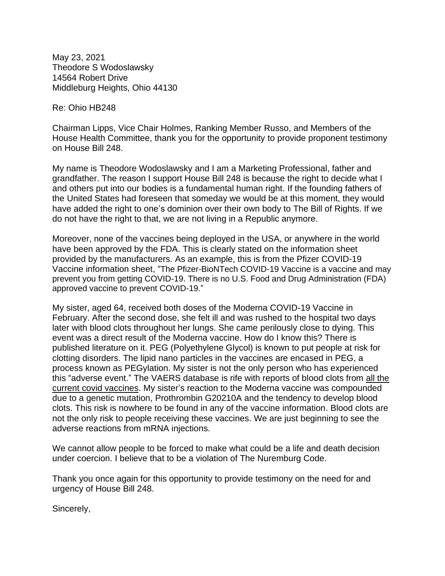May 23, 2021 Theodore S Wodoslawsky 14564 Robert Drive Middleburg Heights, Ohio 44130

Re: Ohio HB248

Chairman Lipps, Vice Chair Holmes, Ranking Member Russo, and Members of the House Health Committee, thank you for the opportunity to provide proponent testimony on House Bill 248.

My name is Theodore Wodoslawsky and I am a Marketing Professional, father and grandfather. The reason I support House Bill 248 is because the right to decide what I and others put into our bodies is a fundamental human right. If the founding fathers of the United States had foreseen that someday we would be at this moment, they would have added the right to one's dominion over their own body to The Bill of Rights. If we do not have the right to that, we are not living in a Republic anymore.

Moreover, none of the vaccines being deployed in the USA, or anywhere in the world have been approved by the FDA. This is clearly stated on the information sheet provided by the manufacturers. As an example, this is from the Pfizer COVID-19 Vaccine information sheet, "The Pfizer-BioNTech COVID-19 Vaccine is a vaccine and may prevent you from getting COVID-19. There is no U.S. Food and Drug Administration (FDA) approved vaccine to prevent COVID-19."

My sister, aged 64, received both doses of the Moderna COVID-19 Vaccine in February. After the second dose, she felt ill and was rushed to the hospital two days later with blood clots throughout her lungs. She came perilously close to dying. This event was a direct result of the Moderna vaccine. How do I know this? There is published literature on it. PEG (Polyethylene Glycol) is known to put people at risk for clotting disorders. The lipid nano particles in the vaccines are encased in PEG, a process known as PEGylation. My sister is not the only person who has experienced this "adverse event." The VAERS database is rife with reports of blood clots from all the current covid vaccines. My sister's reaction to the Moderna vaccine was compounded due to a genetic mutation, Prothrombin G20210A and the tendency to develop blood clots. This risk is nowhere to be found in any of the vaccine information. Blood clots are not the only risk to people receiving these vaccines. We are just beginning to see the adverse reactions from mRNA injections.

We cannot allow people to be forced to make what could be a life and death decision under coercion. I believe that to be a violation of The Nuremburg Code.

Thank you once again for this opportunity to provide testimony on the need for and urgency of House Bill 248.

Sincerely,